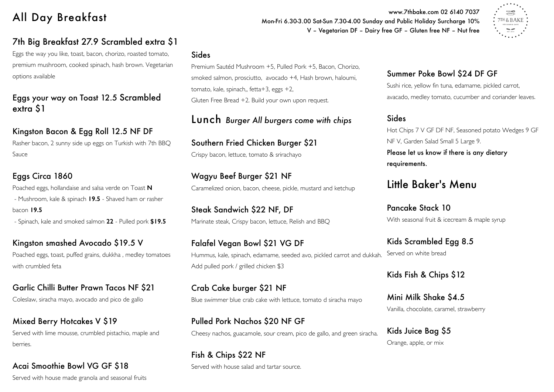# All Day Breakfast

## 7th Big Breakfast 27.9 Scrambled extra \$1

Eggs the way you like, toast, bacon, chorizo, roasted tomato, premium mushroom, cooked spinach, hash brown. Vegetarian options available

Eggs your way on Toast 12.5 Scrambled extra \$1

## Kingston Bacon & Egg Roll 12.5 NF DF

Rasher bacon, 2 sunny side up eggs on Turkish with 7th BBQ Sauce

### Eggs Circa 1860

Poached eggs, hollandaise and salsa verde on Toast **N** - Mushroom, kale & spinach **19.5** - Shaved ham or rasher bacon **19.5**

- Spinach, kale and smoked salmon **22** - Pulled pork **\$19.5**

Kingston smashed Avocado \$19.5 V Poached eggs, toast, puffed grains, dukkha , medley tomatoes with crumbled feta

Garlic Chilli Butter Prawn Tacos NF \$21 Coleslaw, siracha mayo, avocado and pico de gallo

Mixed Berry Hotcakes V \$19 Served with lime mousse, crumbled pistachio, maple and berries.

Acai Smoothie Bowl VG GF \$18 Served with house made granola and seasonal fruits

#### Sides

Premium Sautéd Mushroom +5, Pulled Pork +5, Bacon, Chorizo, smoked salmon, prosciutto, avocado +4, Hash brown, haloumi, tomato, kale, spinach,, fetta+3, eggs +2, Gluten Free Bread +2. Build your own upon request.

Lunch *Burger All burgers come with chips*

Southern Fried Chicken Burger \$21 Crispy bacon, lettuce, tomato & srirachayo

Wagyu Beef Burger \$21 NF Caramelized onion, bacon, cheese, pickle, mustard and ketchup

Steak Sandwich \$22 NF, DF Marinate steak, Crispy bacon, lettuce, Relish and BBQ

Falafel Vegan Bowl \$21 VG DF Hummus, kale, spinach, edamame, seeded avo, pickled carrot and dukkah. Add pulled pork / grilled chicken \$3

Crab Cake burger \$21 NF Blue swimmer blue crab cake with lettuce, tomato d siracha mayo

Pulled Pork Nachos \$20 NF GF Cheesy nachos, guacamole, sour cream, pico de gallo, and green siracha.

Fish & Chips \$22 NF Served with house salad and tartar source.

www.7thbake.com 02 6140 7037 Mon-Fri 6.30-3.00 Sat-Sun 7.30-4.00 Sunday and Public Holiday Surcharge 10% V – Vegetarian DF – Dairy free GF – Gluten free NF – Nut free



## Summer Poke Bowl \$24 DF GF

Sushi rice, yellow fin tuna, edamame, pickled carrot, avacado, medley tomato, cucumber and coriander leaves.

#### Sides

Hot Chips 7 V GF DF NF, Seasoned potato Wedges 9 GF NF V, Garden Salad Small 5 Large 9. Please let us know if there is any dietary requirements.

## Little Baker's Menu

Pancake Stack 10 With seasonal fruit & icecream & maple syrup

Kids Scrambled Egg 8.5 Served on white bread

Kids Fish & Chips \$12

Mini Milk Shake \$4.5 Vanilla, chocolate, caramel, strawberry

Kids Juice Bag \$5 Orange, apple, or mix